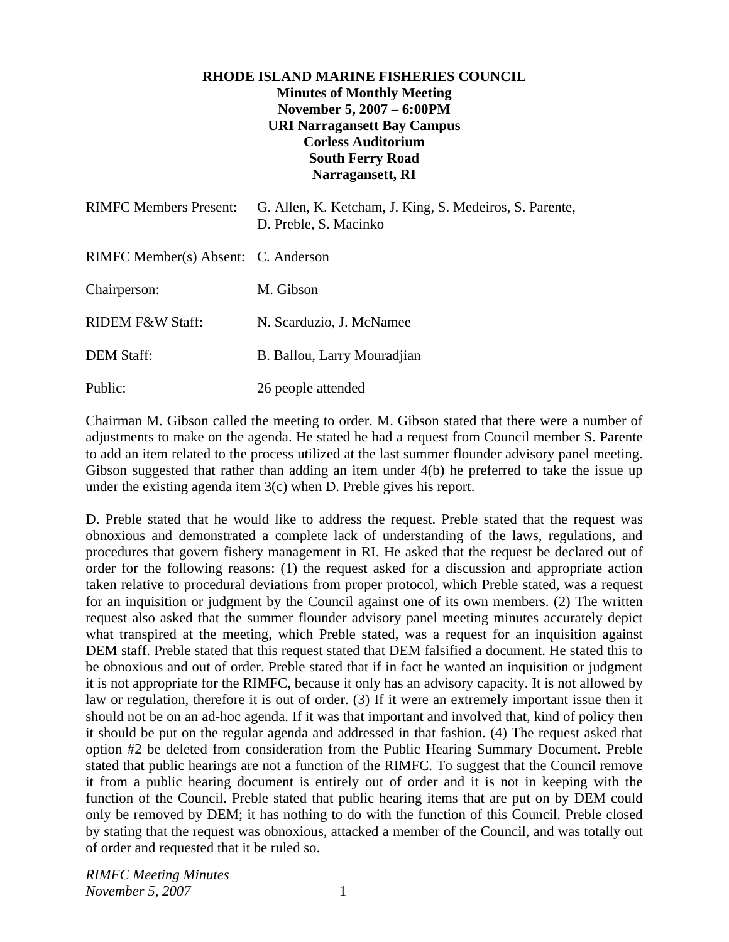## **RHODE ISLAND MARINE FISHERIES COUNCIL Minutes of Monthly Meeting November 5, 2007 – 6:00PM URI Narragansett Bay Campus Corless Auditorium South Ferry Road Narragansett, RI**

| <b>RIMFC Members Present:</b>       | G. Allen, K. Ketcham, J. King, S. Medeiros, S. Parente,<br>D. Preble, S. Macinko |
|-------------------------------------|----------------------------------------------------------------------------------|
| RIMFC Member(s) Absent: C. Anderson |                                                                                  |
| Chairperson:                        | M. Gibson                                                                        |
| <b>RIDEM F&amp;W Staff:</b>         | N. Scarduzio, J. McNamee                                                         |
| <b>DEM Staff:</b>                   | B. Ballou, Larry Mouradjian                                                      |
| Public:                             | 26 people attended                                                               |

Chairman M. Gibson called the meeting to order. M. Gibson stated that there were a number of adjustments to make on the agenda. He stated he had a request from Council member S. Parente to add an item related to the process utilized at the last summer flounder advisory panel meeting. Gibson suggested that rather than adding an item under 4(b) he preferred to take the issue up under the existing agenda item 3(c) when D. Preble gives his report.

D. Preble stated that he would like to address the request. Preble stated that the request was obnoxious and demonstrated a complete lack of understanding of the laws, regulations, and procedures that govern fishery management in RI. He asked that the request be declared out of order for the following reasons: (1) the request asked for a discussion and appropriate action taken relative to procedural deviations from proper protocol, which Preble stated, was a request for an inquisition or judgment by the Council against one of its own members. (2) The written request also asked that the summer flounder advisory panel meeting minutes accurately depict what transpired at the meeting, which Preble stated, was a request for an inquisition against DEM staff. Preble stated that this request stated that DEM falsified a document. He stated this to be obnoxious and out of order. Preble stated that if in fact he wanted an inquisition or judgment it is not appropriate for the RIMFC, because it only has an advisory capacity. It is not allowed by law or regulation, therefore it is out of order. (3) If it were an extremely important issue then it should not be on an ad-hoc agenda. If it was that important and involved that, kind of policy then it should be put on the regular agenda and addressed in that fashion. (4) The request asked that option #2 be deleted from consideration from the Public Hearing Summary Document. Preble stated that public hearings are not a function of the RIMFC. To suggest that the Council remove it from a public hearing document is entirely out of order and it is not in keeping with the function of the Council. Preble stated that public hearing items that are put on by DEM could only be removed by DEM; it has nothing to do with the function of this Council. Preble closed by stating that the request was obnoxious, attacked a member of the Council, and was totally out of order and requested that it be ruled so.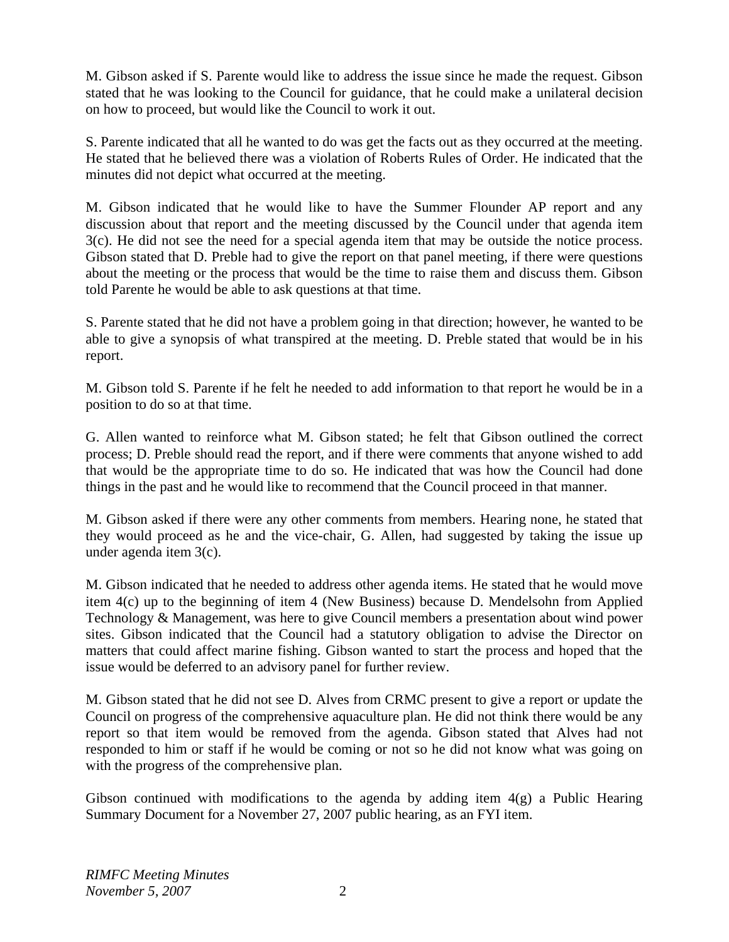M. Gibson asked if S. Parente would like to address the issue since he made the request. Gibson stated that he was looking to the Council for guidance, that he could make a unilateral decision on how to proceed, but would like the Council to work it out.

S. Parente indicated that all he wanted to do was get the facts out as they occurred at the meeting. He stated that he believed there was a violation of Roberts Rules of Order. He indicated that the minutes did not depict what occurred at the meeting.

M. Gibson indicated that he would like to have the Summer Flounder AP report and any discussion about that report and the meeting discussed by the Council under that agenda item 3(c). He did not see the need for a special agenda item that may be outside the notice process. Gibson stated that D. Preble had to give the report on that panel meeting, if there were questions about the meeting or the process that would be the time to raise them and discuss them. Gibson told Parente he would be able to ask questions at that time.

S. Parente stated that he did not have a problem going in that direction; however, he wanted to be able to give a synopsis of what transpired at the meeting. D. Preble stated that would be in his report.

M. Gibson told S. Parente if he felt he needed to add information to that report he would be in a position to do so at that time.

G. Allen wanted to reinforce what M. Gibson stated; he felt that Gibson outlined the correct process; D. Preble should read the report, and if there were comments that anyone wished to add that would be the appropriate time to do so. He indicated that was how the Council had done things in the past and he would like to recommend that the Council proceed in that manner.

M. Gibson asked if there were any other comments from members. Hearing none, he stated that they would proceed as he and the vice-chair, G. Allen, had suggested by taking the issue up under agenda item 3(c).

M. Gibson indicated that he needed to address other agenda items. He stated that he would move item 4(c) up to the beginning of item 4 (New Business) because D. Mendelsohn from Applied Technology & Management, was here to give Council members a presentation about wind power sites. Gibson indicated that the Council had a statutory obligation to advise the Director on matters that could affect marine fishing. Gibson wanted to start the process and hoped that the issue would be deferred to an advisory panel for further review.

M. Gibson stated that he did not see D. Alves from CRMC present to give a report or update the Council on progress of the comprehensive aquaculture plan. He did not think there would be any report so that item would be removed from the agenda. Gibson stated that Alves had not responded to him or staff if he would be coming or not so he did not know what was going on with the progress of the comprehensive plan.

Gibson continued with modifications to the agenda by adding item  $4(g)$  a Public Hearing Summary Document for a November 27, 2007 public hearing, as an FYI item.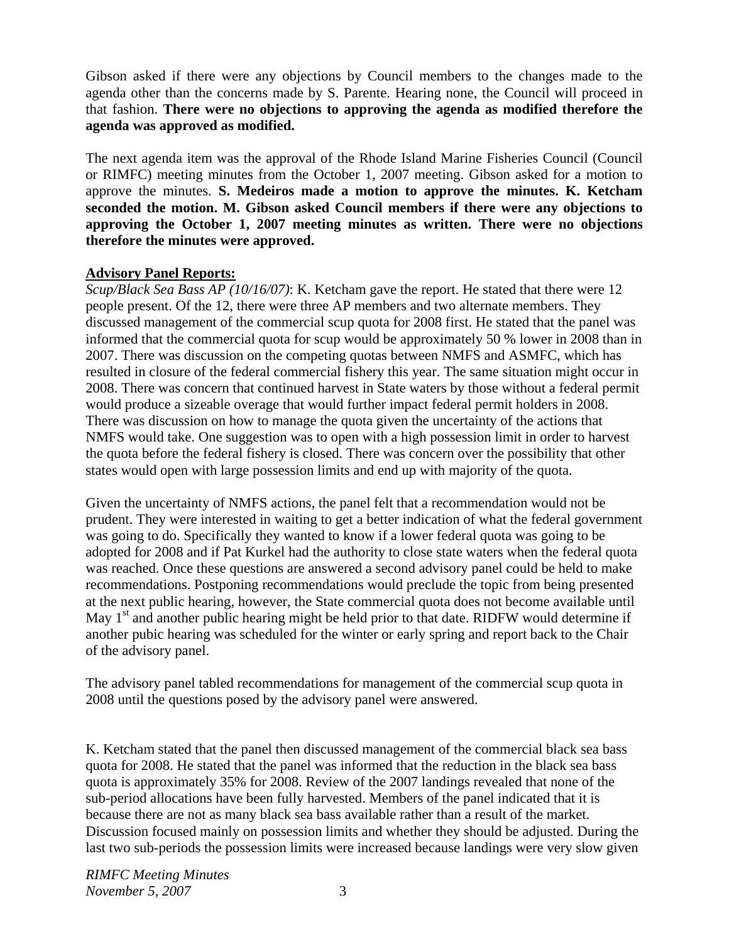Gibson asked if there were any objections by Council members to the changes made to the agenda other than the concerns made by S. Parente. Hearing none, the Council will proceed in that fashion. **There were no objections to approving the agenda as modified therefore the agenda was approved as modified.**

The next agenda item was the approval of the Rhode Island Marine Fisheries Council (Council or RIMFC) meeting minutes from the October 1, 2007 meeting. Gibson asked for a motion to approve the minutes. **S. Medeiros made a motion to approve the minutes. K. Ketcham seconded the motion. M. Gibson asked Council members if there were any objections to approving the October 1, 2007 meeting minutes as written. There were no objections therefore the minutes were approved.** 

## **Advisory Panel Reports:**

*Scup/Black Sea Bass AP (10/16/07)*: K. Ketcham gave the report. He stated that there were 12 people present. Of the 12, there were three AP members and two alternate members. They discussed management of the commercial scup quota for 2008 first. He stated that the panel was informed that the commercial quota for scup would be approximately 50 % lower in 2008 than in 2007. There was discussion on the competing quotas between NMFS and ASMFC, which has resulted in closure of the federal commercial fishery this year. The same situation might occur in 2008. There was concern that continued harvest in State waters by those without a federal permit would produce a sizeable overage that would further impact federal permit holders in 2008. There was discussion on how to manage the quota given the uncertainty of the actions that NMFS would take. One suggestion was to open with a high possession limit in order to harvest the quota before the federal fishery is closed. There was concern over the possibility that other states would open with large possession limits and end up with majority of the quota.

Given the uncertainty of NMFS actions, the panel felt that a recommendation would not be prudent. They were interested in waiting to get a better indication of what the federal government was going to do. Specifically they wanted to know if a lower federal quota was going to be adopted for 2008 and if Pat Kurkel had the authority to close state waters when the federal quota was reached. Once these questions are answered a second advisory panel could be held to make recommendations. Postponing recommendations would preclude the topic from being presented at the next public hearing, however, the State commercial quota does not become available until May  $1<sup>st</sup>$  and another public hearing might be held prior to that date. RIDFW would determine if another pubic hearing was scheduled for the winter or early spring and report back to the Chair of the advisory panel.

The advisory panel tabled recommendations for management of the commercial scup quota in 2008 until the questions posed by the advisory panel were answered.

K. Ketcham stated that the panel then discussed management of the commercial black sea bass quota for 2008. He stated that the panel was informed that the reduction in the black sea bass quota is approximately 35% for 2008. Review of the 2007 landings revealed that none of the sub-period allocations have been fully harvested. Members of the panel indicated that it is because there are not as many black sea bass available rather than a result of the market. Discussion focused mainly on possession limits and whether they should be adjusted. During the last two sub-periods the possession limits were increased because landings were very slow given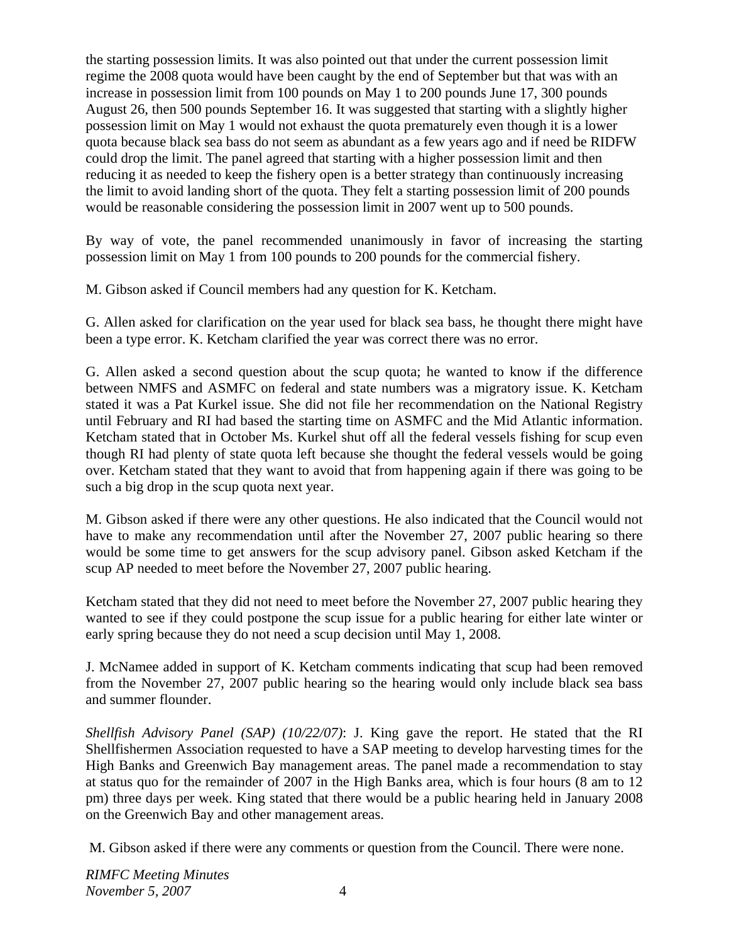the starting possession limits. It was also pointed out that under the current possession limit regime the 2008 quota would have been caught by the end of September but that was with an increase in possession limit from 100 pounds on May 1 to 200 pounds June 17, 300 pounds August 26, then 500 pounds September 16. It was suggested that starting with a slightly higher possession limit on May 1 would not exhaust the quota prematurely even though it is a lower quota because black sea bass do not seem as abundant as a few years ago and if need be RIDFW could drop the limit. The panel agreed that starting with a higher possession limit and then reducing it as needed to keep the fishery open is a better strategy than continuously increasing the limit to avoid landing short of the quota. They felt a starting possession limit of 200 pounds would be reasonable considering the possession limit in 2007 went up to 500 pounds.

By way of vote, the panel recommended unanimously in favor of increasing the starting possession limit on May 1 from 100 pounds to 200 pounds for the commercial fishery.

M. Gibson asked if Council members had any question for K. Ketcham.

G. Allen asked for clarification on the year used for black sea bass, he thought there might have been a type error. K. Ketcham clarified the year was correct there was no error.

G. Allen asked a second question about the scup quota; he wanted to know if the difference between NMFS and ASMFC on federal and state numbers was a migratory issue. K. Ketcham stated it was a Pat Kurkel issue. She did not file her recommendation on the National Registry until February and RI had based the starting time on ASMFC and the Mid Atlantic information. Ketcham stated that in October Ms. Kurkel shut off all the federal vessels fishing for scup even though RI had plenty of state quota left because she thought the federal vessels would be going over. Ketcham stated that they want to avoid that from happening again if there was going to be such a big drop in the scup quota next year.

M. Gibson asked if there were any other questions. He also indicated that the Council would not have to make any recommendation until after the November 27, 2007 public hearing so there would be some time to get answers for the scup advisory panel. Gibson asked Ketcham if the scup AP needed to meet before the November 27, 2007 public hearing.

Ketcham stated that they did not need to meet before the November 27, 2007 public hearing they wanted to see if they could postpone the scup issue for a public hearing for either late winter or early spring because they do not need a scup decision until May 1, 2008.

J. McNamee added in support of K. Ketcham comments indicating that scup had been removed from the November 27, 2007 public hearing so the hearing would only include black sea bass and summer flounder.

*Shellfish Advisory Panel (SAP) (10/22/07)*: J. King gave the report. He stated that the RI Shellfishermen Association requested to have a SAP meeting to develop harvesting times for the High Banks and Greenwich Bay management areas. The panel made a recommendation to stay at status quo for the remainder of 2007 in the High Banks area, which is four hours (8 am to 12 pm) three days per week. King stated that there would be a public hearing held in January 2008 on the Greenwich Bay and other management areas.

M. Gibson asked if there were any comments or question from the Council. There were none.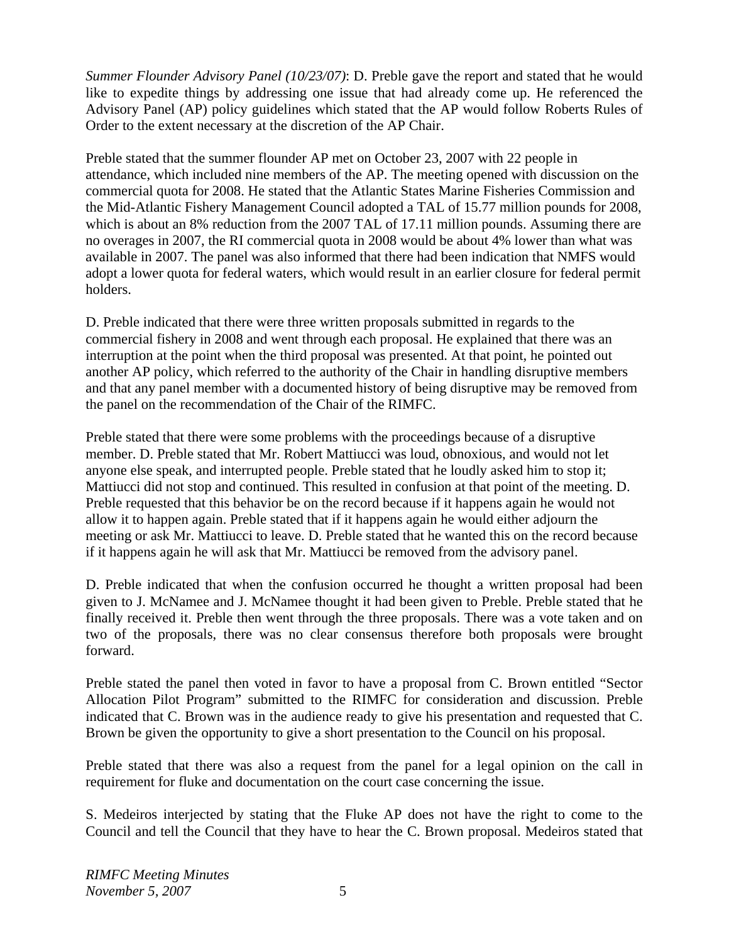*Summer Flounder Advisory Panel (10/23/07)*: D. Preble gave the report and stated that he would like to expedite things by addressing one issue that had already come up. He referenced the Advisory Panel (AP) policy guidelines which stated that the AP would follow Roberts Rules of Order to the extent necessary at the discretion of the AP Chair.

Preble stated that the summer flounder AP met on October 23, 2007 with 22 people in attendance, which included nine members of the AP. The meeting opened with discussion on the commercial quota for 2008. He stated that the Atlantic States Marine Fisheries Commission and the Mid-Atlantic Fishery Management Council adopted a TAL of 15.77 million pounds for 2008, which is about an 8% reduction from the 2007 TAL of 17.11 million pounds. Assuming there are no overages in 2007, the RI commercial quota in 2008 would be about 4% lower than what was available in 2007. The panel was also informed that there had been indication that NMFS would adopt a lower quota for federal waters, which would result in an earlier closure for federal permit holders.

D. Preble indicated that there were three written proposals submitted in regards to the commercial fishery in 2008 and went through each proposal. He explained that there was an interruption at the point when the third proposal was presented. At that point, he pointed out another AP policy, which referred to the authority of the Chair in handling disruptive members and that any panel member with a documented history of being disruptive may be removed from the panel on the recommendation of the Chair of the RIMFC.

Preble stated that there were some problems with the proceedings because of a disruptive member. D. Preble stated that Mr. Robert Mattiucci was loud, obnoxious, and would not let anyone else speak, and interrupted people. Preble stated that he loudly asked him to stop it; Mattiucci did not stop and continued. This resulted in confusion at that point of the meeting. D. Preble requested that this behavior be on the record because if it happens again he would not allow it to happen again. Preble stated that if it happens again he would either adjourn the meeting or ask Mr. Mattiucci to leave. D. Preble stated that he wanted this on the record because if it happens again he will ask that Mr. Mattiucci be removed from the advisory panel.

D. Preble indicated that when the confusion occurred he thought a written proposal had been given to J. McNamee and J. McNamee thought it had been given to Preble. Preble stated that he finally received it. Preble then went through the three proposals. There was a vote taken and on two of the proposals, there was no clear consensus therefore both proposals were brought forward.

Preble stated the panel then voted in favor to have a proposal from C. Brown entitled "Sector Allocation Pilot Program" submitted to the RIMFC for consideration and discussion. Preble indicated that C. Brown was in the audience ready to give his presentation and requested that C. Brown be given the opportunity to give a short presentation to the Council on his proposal.

Preble stated that there was also a request from the panel for a legal opinion on the call in requirement for fluke and documentation on the court case concerning the issue.

S. Medeiros interjected by stating that the Fluke AP does not have the right to come to the Council and tell the Council that they have to hear the C. Brown proposal. Medeiros stated that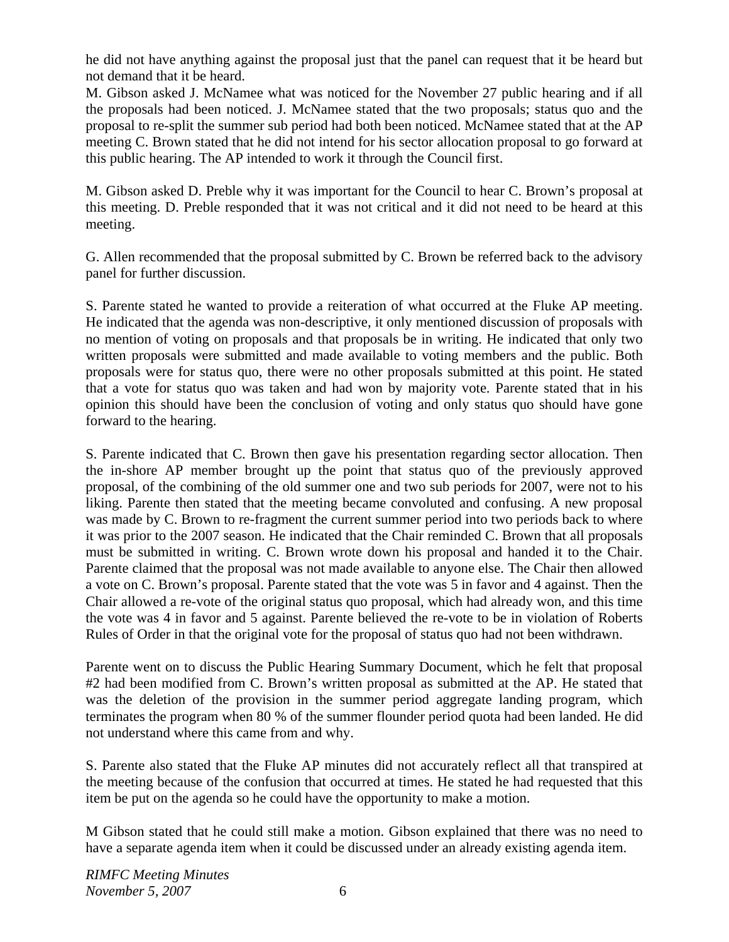he did not have anything against the proposal just that the panel can request that it be heard but not demand that it be heard.

M. Gibson asked J. McNamee what was noticed for the November 27 public hearing and if all the proposals had been noticed. J. McNamee stated that the two proposals; status quo and the proposal to re-split the summer sub period had both been noticed. McNamee stated that at the AP meeting C. Brown stated that he did not intend for his sector allocation proposal to go forward at this public hearing. The AP intended to work it through the Council first.

M. Gibson asked D. Preble why it was important for the Council to hear C. Brown's proposal at this meeting. D. Preble responded that it was not critical and it did not need to be heard at this meeting.

G. Allen recommended that the proposal submitted by C. Brown be referred back to the advisory panel for further discussion.

S. Parente stated he wanted to provide a reiteration of what occurred at the Fluke AP meeting. He indicated that the agenda was non-descriptive, it only mentioned discussion of proposals with no mention of voting on proposals and that proposals be in writing. He indicated that only two written proposals were submitted and made available to voting members and the public. Both proposals were for status quo, there were no other proposals submitted at this point. He stated that a vote for status quo was taken and had won by majority vote. Parente stated that in his opinion this should have been the conclusion of voting and only status quo should have gone forward to the hearing.

S. Parente indicated that C. Brown then gave his presentation regarding sector allocation. Then the in-shore AP member brought up the point that status quo of the previously approved proposal, of the combining of the old summer one and two sub periods for 2007, were not to his liking. Parente then stated that the meeting became convoluted and confusing. A new proposal was made by C. Brown to re-fragment the current summer period into two periods back to where it was prior to the 2007 season. He indicated that the Chair reminded C. Brown that all proposals must be submitted in writing. C. Brown wrote down his proposal and handed it to the Chair. Parente claimed that the proposal was not made available to anyone else. The Chair then allowed a vote on C. Brown's proposal. Parente stated that the vote was 5 in favor and 4 against. Then the Chair allowed a re-vote of the original status quo proposal, which had already won, and this time the vote was 4 in favor and 5 against. Parente believed the re-vote to be in violation of Roberts Rules of Order in that the original vote for the proposal of status quo had not been withdrawn.

Parente went on to discuss the Public Hearing Summary Document, which he felt that proposal #2 had been modified from C. Brown's written proposal as submitted at the AP. He stated that was the deletion of the provision in the summer period aggregate landing program, which terminates the program when 80 % of the summer flounder period quota had been landed. He did not understand where this came from and why.

S. Parente also stated that the Fluke AP minutes did not accurately reflect all that transpired at the meeting because of the confusion that occurred at times. He stated he had requested that this item be put on the agenda so he could have the opportunity to make a motion.

M Gibson stated that he could still make a motion. Gibson explained that there was no need to have a separate agenda item when it could be discussed under an already existing agenda item.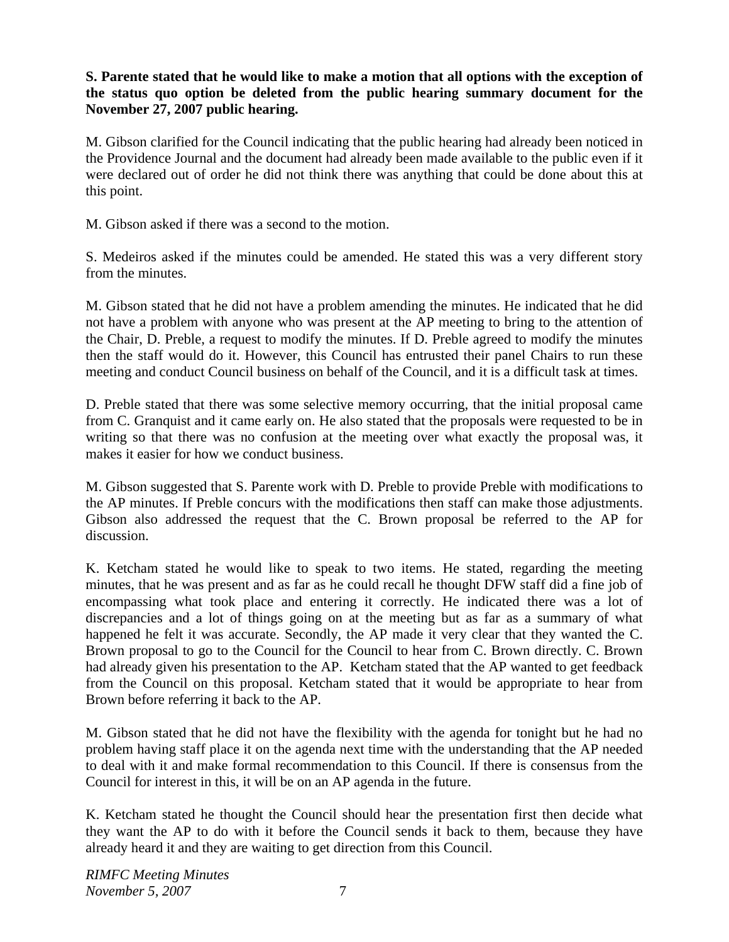## **S. Parente stated that he would like to make a motion that all options with the exception of the status quo option be deleted from the public hearing summary document for the November 27, 2007 public hearing.**

M. Gibson clarified for the Council indicating that the public hearing had already been noticed in the Providence Journal and the document had already been made available to the public even if it were declared out of order he did not think there was anything that could be done about this at this point.

M. Gibson asked if there was a second to the motion.

S. Medeiros asked if the minutes could be amended. He stated this was a very different story from the minutes.

M. Gibson stated that he did not have a problem amending the minutes. He indicated that he did not have a problem with anyone who was present at the AP meeting to bring to the attention of the Chair, D. Preble, a request to modify the minutes. If D. Preble agreed to modify the minutes then the staff would do it. However, this Council has entrusted their panel Chairs to run these meeting and conduct Council business on behalf of the Council, and it is a difficult task at times.

D. Preble stated that there was some selective memory occurring, that the initial proposal came from C. Granquist and it came early on. He also stated that the proposals were requested to be in writing so that there was no confusion at the meeting over what exactly the proposal was, it makes it easier for how we conduct business.

M. Gibson suggested that S. Parente work with D. Preble to provide Preble with modifications to the AP minutes. If Preble concurs with the modifications then staff can make those adjustments. Gibson also addressed the request that the C. Brown proposal be referred to the AP for discussion.

K. Ketcham stated he would like to speak to two items. He stated, regarding the meeting minutes, that he was present and as far as he could recall he thought DFW staff did a fine job of encompassing what took place and entering it correctly. He indicated there was a lot of discrepancies and a lot of things going on at the meeting but as far as a summary of what happened he felt it was accurate. Secondly, the AP made it very clear that they wanted the C. Brown proposal to go to the Council for the Council to hear from C. Brown directly. C. Brown had already given his presentation to the AP. Ketcham stated that the AP wanted to get feedback from the Council on this proposal. Ketcham stated that it would be appropriate to hear from Brown before referring it back to the AP.

M. Gibson stated that he did not have the flexibility with the agenda for tonight but he had no problem having staff place it on the agenda next time with the understanding that the AP needed to deal with it and make formal recommendation to this Council. If there is consensus from the Council for interest in this, it will be on an AP agenda in the future.

K. Ketcham stated he thought the Council should hear the presentation first then decide what they want the AP to do with it before the Council sends it back to them, because they have already heard it and they are waiting to get direction from this Council.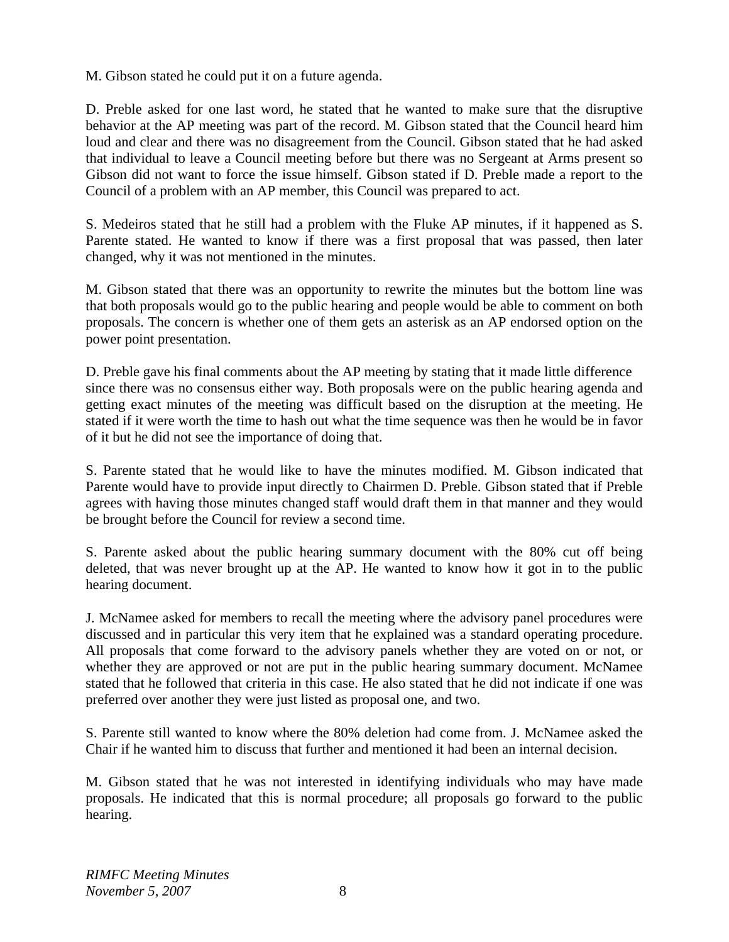M. Gibson stated he could put it on a future agenda.

D. Preble asked for one last word, he stated that he wanted to make sure that the disruptive behavior at the AP meeting was part of the record. M. Gibson stated that the Council heard him loud and clear and there was no disagreement from the Council. Gibson stated that he had asked that individual to leave a Council meeting before but there was no Sergeant at Arms present so Gibson did not want to force the issue himself. Gibson stated if D. Preble made a report to the Council of a problem with an AP member, this Council was prepared to act.

S. Medeiros stated that he still had a problem with the Fluke AP minutes, if it happened as S. Parente stated. He wanted to know if there was a first proposal that was passed, then later changed, why it was not mentioned in the minutes.

M. Gibson stated that there was an opportunity to rewrite the minutes but the bottom line was that both proposals would go to the public hearing and people would be able to comment on both proposals. The concern is whether one of them gets an asterisk as an AP endorsed option on the power point presentation.

D. Preble gave his final comments about the AP meeting by stating that it made little difference since there was no consensus either way. Both proposals were on the public hearing agenda and getting exact minutes of the meeting was difficult based on the disruption at the meeting. He stated if it were worth the time to hash out what the time sequence was then he would be in favor of it but he did not see the importance of doing that.

S. Parente stated that he would like to have the minutes modified. M. Gibson indicated that Parente would have to provide input directly to Chairmen D. Preble. Gibson stated that if Preble agrees with having those minutes changed staff would draft them in that manner and they would be brought before the Council for review a second time.

S. Parente asked about the public hearing summary document with the 80% cut off being deleted, that was never brought up at the AP. He wanted to know how it got in to the public hearing document.

J. McNamee asked for members to recall the meeting where the advisory panel procedures were discussed and in particular this very item that he explained was a standard operating procedure. All proposals that come forward to the advisory panels whether they are voted on or not, or whether they are approved or not are put in the public hearing summary document. McNamee stated that he followed that criteria in this case. He also stated that he did not indicate if one was preferred over another they were just listed as proposal one, and two.

S. Parente still wanted to know where the 80% deletion had come from. J. McNamee asked the Chair if he wanted him to discuss that further and mentioned it had been an internal decision.

M. Gibson stated that he was not interested in identifying individuals who may have made proposals. He indicated that this is normal procedure; all proposals go forward to the public hearing.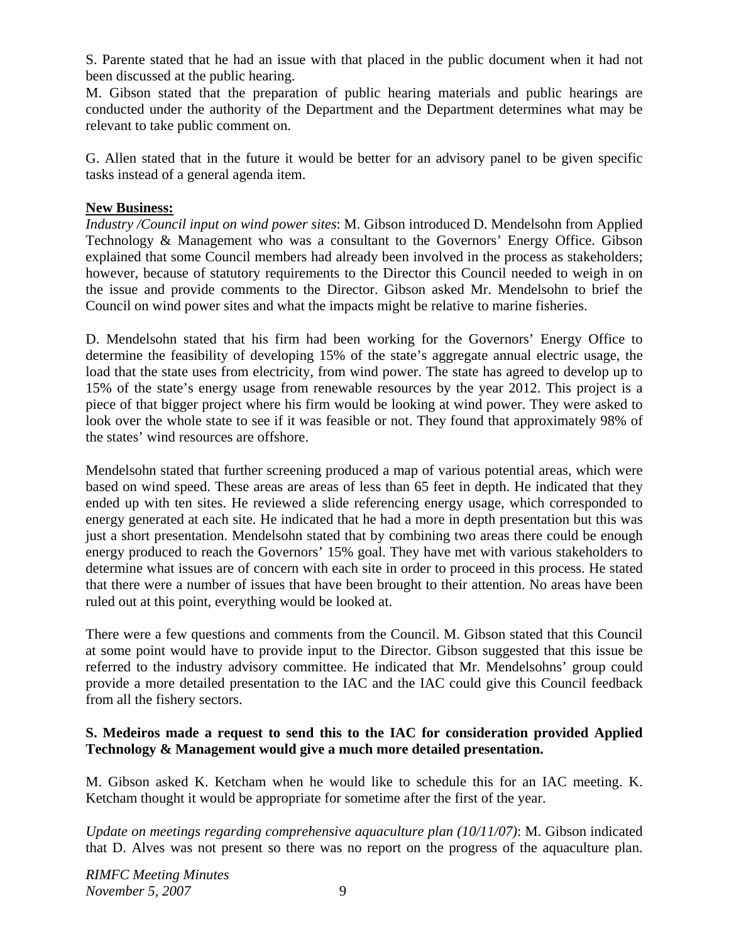S. Parente stated that he had an issue with that placed in the public document when it had not been discussed at the public hearing.

M. Gibson stated that the preparation of public hearing materials and public hearings are conducted under the authority of the Department and the Department determines what may be relevant to take public comment on.

G. Allen stated that in the future it would be better for an advisory panel to be given specific tasks instead of a general agenda item.

#### **New Business:**

*Industry /Council input on wind power sites*: M. Gibson introduced D. Mendelsohn from Applied Technology & Management who was a consultant to the Governors' Energy Office. Gibson explained that some Council members had already been involved in the process as stakeholders; however, because of statutory requirements to the Director this Council needed to weigh in on the issue and provide comments to the Director. Gibson asked Mr. Mendelsohn to brief the Council on wind power sites and what the impacts might be relative to marine fisheries.

D. Mendelsohn stated that his firm had been working for the Governors' Energy Office to determine the feasibility of developing 15% of the state's aggregate annual electric usage, the load that the state uses from electricity, from wind power. The state has agreed to develop up to 15% of the state's energy usage from renewable resources by the year 2012. This project is a piece of that bigger project where his firm would be looking at wind power. They were asked to look over the whole state to see if it was feasible or not. They found that approximately 98% of the states' wind resources are offshore.

Mendelsohn stated that further screening produced a map of various potential areas, which were based on wind speed. These areas are areas of less than 65 feet in depth. He indicated that they ended up with ten sites. He reviewed a slide referencing energy usage, which corresponded to energy generated at each site. He indicated that he had a more in depth presentation but this was just a short presentation. Mendelsohn stated that by combining two areas there could be enough energy produced to reach the Governors' 15% goal. They have met with various stakeholders to determine what issues are of concern with each site in order to proceed in this process. He stated that there were a number of issues that have been brought to their attention. No areas have been ruled out at this point, everything would be looked at.

There were a few questions and comments from the Council. M. Gibson stated that this Council at some point would have to provide input to the Director. Gibson suggested that this issue be referred to the industry advisory committee. He indicated that Mr. Mendelsohns' group could provide a more detailed presentation to the IAC and the IAC could give this Council feedback from all the fishery sectors.

#### **S. Medeiros made a request to send this to the IAC for consideration provided Applied Technology & Management would give a much more detailed presentation.**

M. Gibson asked K. Ketcham when he would like to schedule this for an IAC meeting. K. Ketcham thought it would be appropriate for sometime after the first of the year.

*Update on meetings regarding comprehensive aquaculture plan (10/11/07)*: M. Gibson indicated that D. Alves was not present so there was no report on the progress of the aquaculture plan.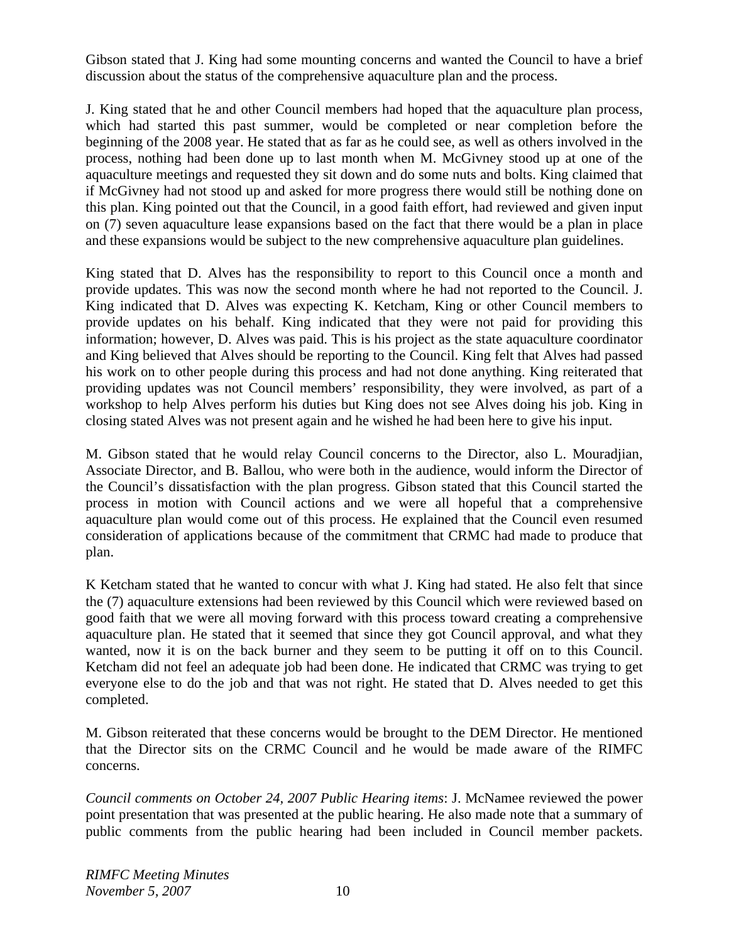Gibson stated that J. King had some mounting concerns and wanted the Council to have a brief discussion about the status of the comprehensive aquaculture plan and the process.

J. King stated that he and other Council members had hoped that the aquaculture plan process, which had started this past summer, would be completed or near completion before the beginning of the 2008 year. He stated that as far as he could see, as well as others involved in the process, nothing had been done up to last month when M. McGivney stood up at one of the aquaculture meetings and requested they sit down and do some nuts and bolts. King claimed that if McGivney had not stood up and asked for more progress there would still be nothing done on this plan. King pointed out that the Council, in a good faith effort, had reviewed and given input on (7) seven aquaculture lease expansions based on the fact that there would be a plan in place and these expansions would be subject to the new comprehensive aquaculture plan guidelines.

King stated that D. Alves has the responsibility to report to this Council once a month and provide updates. This was now the second month where he had not reported to the Council. J. King indicated that D. Alves was expecting K. Ketcham, King or other Council members to provide updates on his behalf. King indicated that they were not paid for providing this information; however, D. Alves was paid. This is his project as the state aquaculture coordinator and King believed that Alves should be reporting to the Council. King felt that Alves had passed his work on to other people during this process and had not done anything. King reiterated that providing updates was not Council members' responsibility, they were involved, as part of a workshop to help Alves perform his duties but King does not see Alves doing his job. King in closing stated Alves was not present again and he wished he had been here to give his input.

M. Gibson stated that he would relay Council concerns to the Director, also L. Mouradjian, Associate Director, and B. Ballou, who were both in the audience, would inform the Director of the Council's dissatisfaction with the plan progress. Gibson stated that this Council started the process in motion with Council actions and we were all hopeful that a comprehensive aquaculture plan would come out of this process. He explained that the Council even resumed consideration of applications because of the commitment that CRMC had made to produce that plan.

K Ketcham stated that he wanted to concur with what J. King had stated. He also felt that since the (7) aquaculture extensions had been reviewed by this Council which were reviewed based on good faith that we were all moving forward with this process toward creating a comprehensive aquaculture plan. He stated that it seemed that since they got Council approval, and what they wanted, now it is on the back burner and they seem to be putting it off on to this Council. Ketcham did not feel an adequate job had been done. He indicated that CRMC was trying to get everyone else to do the job and that was not right. He stated that D. Alves needed to get this completed.

M. Gibson reiterated that these concerns would be brought to the DEM Director. He mentioned that the Director sits on the CRMC Council and he would be made aware of the RIMFC concerns.

*Council comments on October 24, 2007 Public Hearing items*: J. McNamee reviewed the power point presentation that was presented at the public hearing. He also made note that a summary of public comments from the public hearing had been included in Council member packets.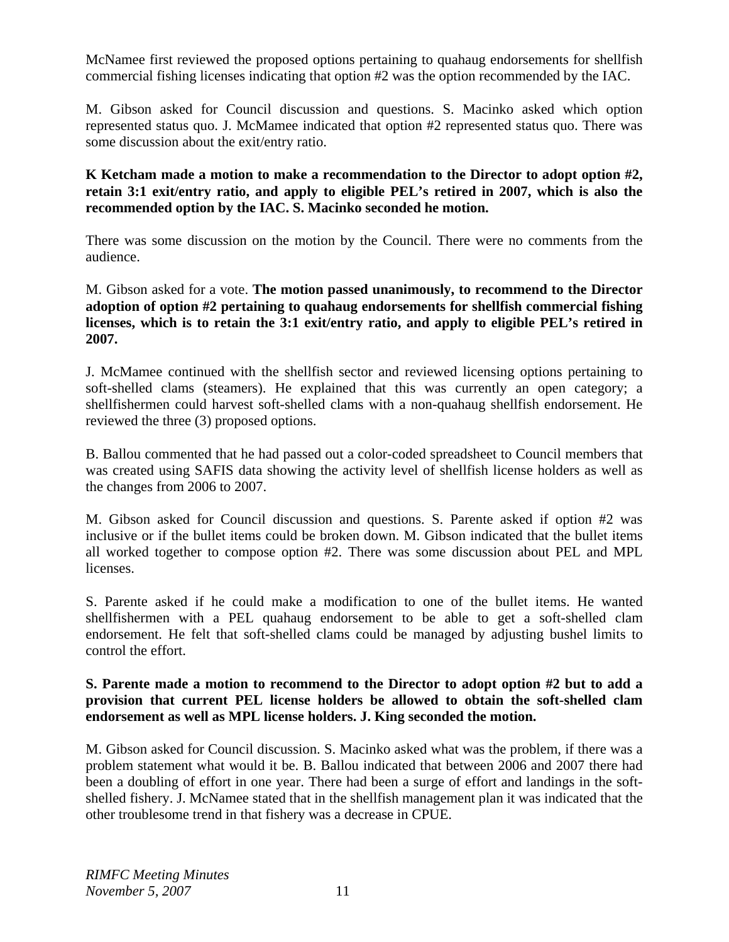McNamee first reviewed the proposed options pertaining to quahaug endorsements for shellfish commercial fishing licenses indicating that option #2 was the option recommended by the IAC.

M. Gibson asked for Council discussion and questions. S. Macinko asked which option represented status quo. J. McMamee indicated that option #2 represented status quo. There was some discussion about the exit/entry ratio.

**K Ketcham made a motion to make a recommendation to the Director to adopt option #2, retain 3:1 exit/entry ratio, and apply to eligible PEL's retired in 2007, which is also the recommended option by the IAC. S. Macinko seconded he motion.**

There was some discussion on the motion by the Council. There were no comments from the audience.

M. Gibson asked for a vote. **The motion passed unanimously, to recommend to the Director adoption of option #2 pertaining to quahaug endorsements for shellfish commercial fishing licenses, which is to retain the 3:1 exit/entry ratio, and apply to eligible PEL's retired in 2007.** 

J. McMamee continued with the shellfish sector and reviewed licensing options pertaining to soft-shelled clams (steamers). He explained that this was currently an open category; a shellfishermen could harvest soft-shelled clams with a non-quahaug shellfish endorsement. He reviewed the three (3) proposed options.

B. Ballou commented that he had passed out a color-coded spreadsheet to Council members that was created using SAFIS data showing the activity level of shellfish license holders as well as the changes from 2006 to 2007.

M. Gibson asked for Council discussion and questions. S. Parente asked if option #2 was inclusive or if the bullet items could be broken down. M. Gibson indicated that the bullet items all worked together to compose option #2. There was some discussion about PEL and MPL licenses.

S. Parente asked if he could make a modification to one of the bullet items. He wanted shellfishermen with a PEL quahaug endorsement to be able to get a soft-shelled clam endorsement. He felt that soft-shelled clams could be managed by adjusting bushel limits to control the effort.

#### **S. Parente made a motion to recommend to the Director to adopt option #2 but to add a provision that current PEL license holders be allowed to obtain the soft-shelled clam endorsement as well as MPL license holders. J. King seconded the motion.**

M. Gibson asked for Council discussion. S. Macinko asked what was the problem, if there was a problem statement what would it be. B. Ballou indicated that between 2006 and 2007 there had been a doubling of effort in one year. There had been a surge of effort and landings in the softshelled fishery. J. McNamee stated that in the shellfish management plan it was indicated that the other troublesome trend in that fishery was a decrease in CPUE.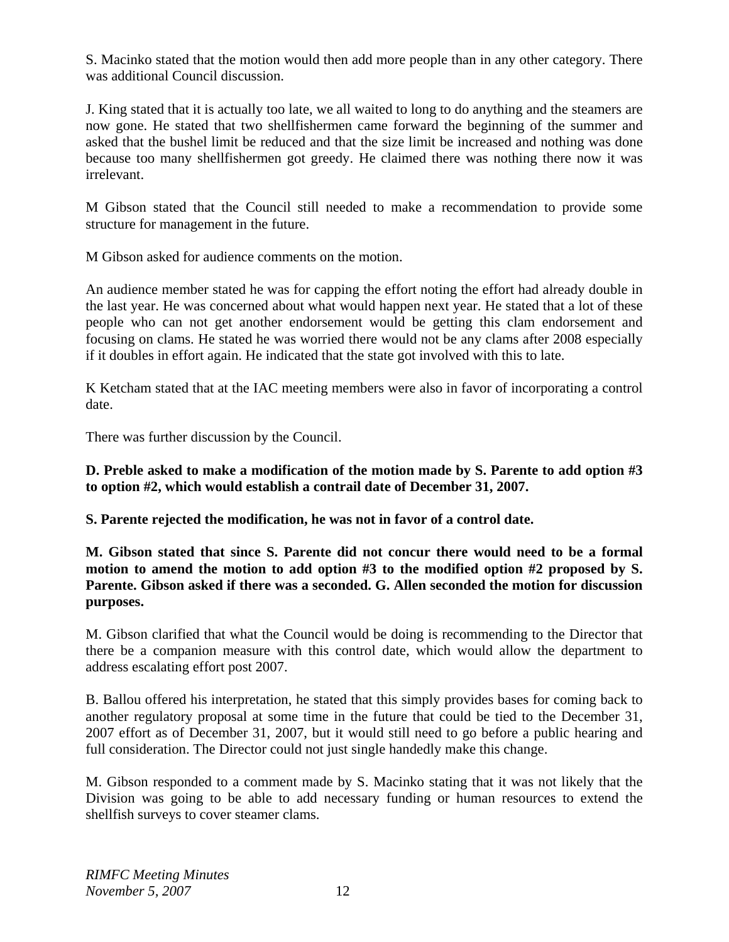S. Macinko stated that the motion would then add more people than in any other category. There was additional Council discussion.

J. King stated that it is actually too late, we all waited to long to do anything and the steamers are now gone. He stated that two shellfishermen came forward the beginning of the summer and asked that the bushel limit be reduced and that the size limit be increased and nothing was done because too many shellfishermen got greedy. He claimed there was nothing there now it was irrelevant.

M Gibson stated that the Council still needed to make a recommendation to provide some structure for management in the future.

M Gibson asked for audience comments on the motion.

An audience member stated he was for capping the effort noting the effort had already double in the last year. He was concerned about what would happen next year. He stated that a lot of these people who can not get another endorsement would be getting this clam endorsement and focusing on clams. He stated he was worried there would not be any clams after 2008 especially if it doubles in effort again. He indicated that the state got involved with this to late.

K Ketcham stated that at the IAC meeting members were also in favor of incorporating a control date.

There was further discussion by the Council.

**D. Preble asked to make a modification of the motion made by S. Parente to add option #3 to option #2, which would establish a contrail date of December 31, 2007.** 

**S. Parente rejected the modification, he was not in favor of a control date.** 

**M. Gibson stated that since S. Parente did not concur there would need to be a formal motion to amend the motion to add option #3 to the modified option #2 proposed by S. Parente. Gibson asked if there was a seconded. G. Allen seconded the motion for discussion purposes.** 

M. Gibson clarified that what the Council would be doing is recommending to the Director that there be a companion measure with this control date, which would allow the department to address escalating effort post 2007.

B. Ballou offered his interpretation, he stated that this simply provides bases for coming back to another regulatory proposal at some time in the future that could be tied to the December 31, 2007 effort as of December 31, 2007, but it would still need to go before a public hearing and full consideration. The Director could not just single handedly make this change.

M. Gibson responded to a comment made by S. Macinko stating that it was not likely that the Division was going to be able to add necessary funding or human resources to extend the shellfish surveys to cover steamer clams.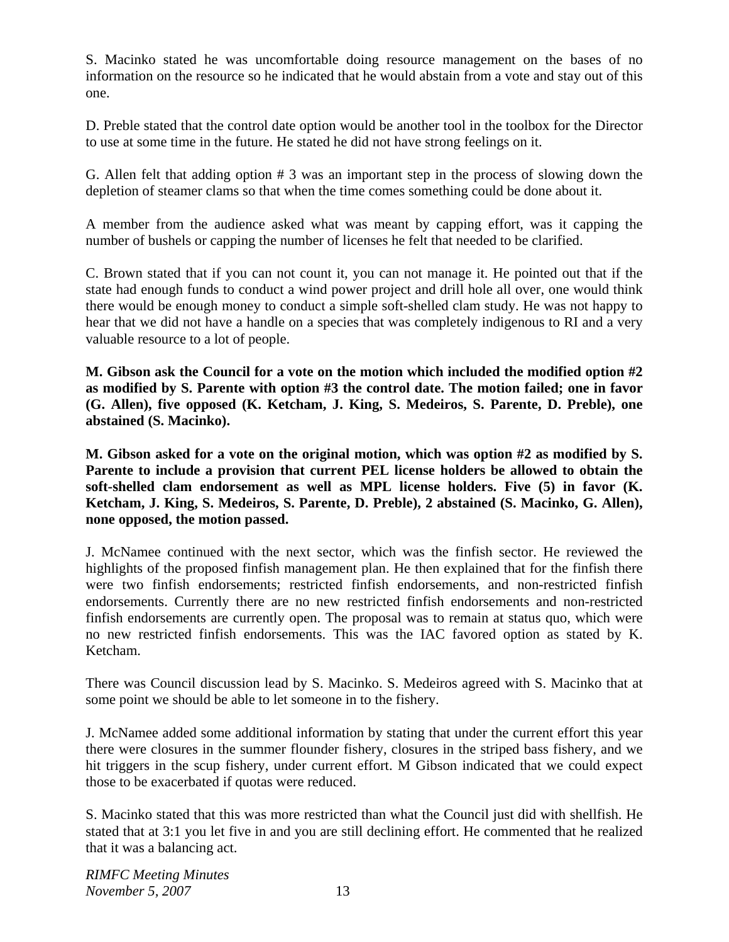S. Macinko stated he was uncomfortable doing resource management on the bases of no information on the resource so he indicated that he would abstain from a vote and stay out of this one.

D. Preble stated that the control date option would be another tool in the toolbox for the Director to use at some time in the future. He stated he did not have strong feelings on it.

G. Allen felt that adding option # 3 was an important step in the process of slowing down the depletion of steamer clams so that when the time comes something could be done about it.

A member from the audience asked what was meant by capping effort, was it capping the number of bushels or capping the number of licenses he felt that needed to be clarified.

C. Brown stated that if you can not count it, you can not manage it. He pointed out that if the state had enough funds to conduct a wind power project and drill hole all over, one would think there would be enough money to conduct a simple soft-shelled clam study. He was not happy to hear that we did not have a handle on a species that was completely indigenous to RI and a very valuable resource to a lot of people.

**M. Gibson ask the Council for a vote on the motion which included the modified option #2 as modified by S. Parente with option #3 the control date. The motion failed; one in favor (G. Allen), five opposed (K. Ketcham, J. King, S. Medeiros, S. Parente, D. Preble), one abstained (S. Macinko).** 

**M. Gibson asked for a vote on the original motion, which was option #2 as modified by S. Parente to include a provision that current PEL license holders be allowed to obtain the soft-shelled clam endorsement as well as MPL license holders. Five (5) in favor (K. Ketcham, J. King, S. Medeiros, S. Parente, D. Preble), 2 abstained (S. Macinko, G. Allen), none opposed, the motion passed.**

J. McNamee continued with the next sector, which was the finfish sector. He reviewed the highlights of the proposed finfish management plan. He then explained that for the finfish there were two finfish endorsements; restricted finfish endorsements, and non-restricted finfish endorsements. Currently there are no new restricted finfish endorsements and non-restricted finfish endorsements are currently open. The proposal was to remain at status quo, which were no new restricted finfish endorsements. This was the IAC favored option as stated by K. Ketcham.

There was Council discussion lead by S. Macinko. S. Medeiros agreed with S. Macinko that at some point we should be able to let someone in to the fishery.

J. McNamee added some additional information by stating that under the current effort this year there were closures in the summer flounder fishery, closures in the striped bass fishery, and we hit triggers in the scup fishery, under current effort. M Gibson indicated that we could expect those to be exacerbated if quotas were reduced.

S. Macinko stated that this was more restricted than what the Council just did with shellfish. He stated that at 3:1 you let five in and you are still declining effort. He commented that he realized that it was a balancing act.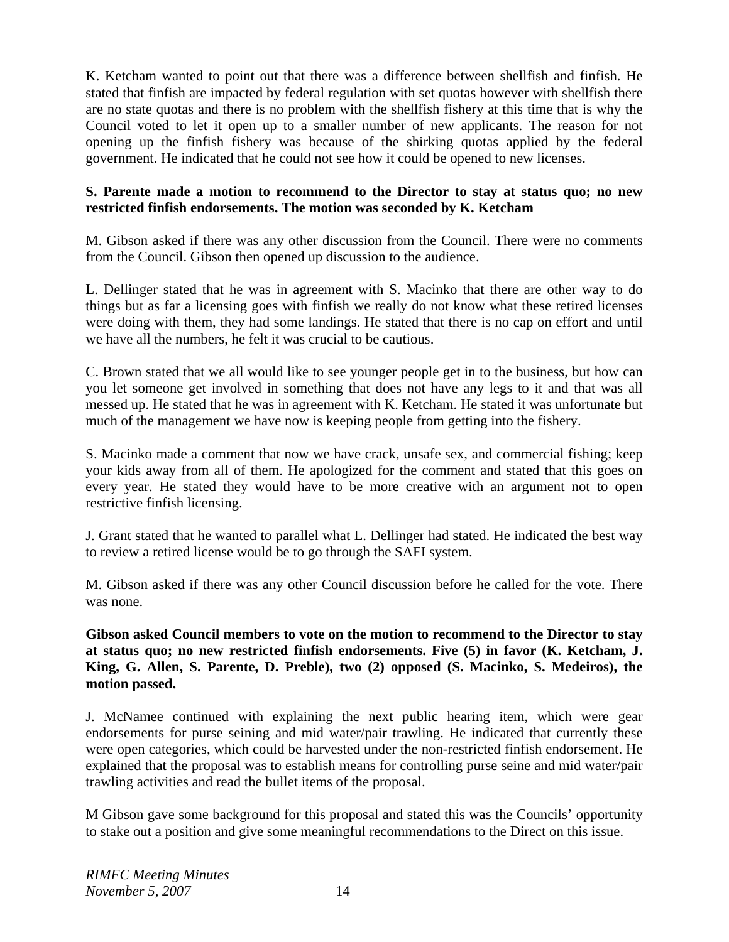K. Ketcham wanted to point out that there was a difference between shellfish and finfish. He stated that finfish are impacted by federal regulation with set quotas however with shellfish there are no state quotas and there is no problem with the shellfish fishery at this time that is why the Council voted to let it open up to a smaller number of new applicants. The reason for not opening up the finfish fishery was because of the shirking quotas applied by the federal government. He indicated that he could not see how it could be opened to new licenses.

#### **S. Parente made a motion to recommend to the Director to stay at status quo; no new restricted finfish endorsements. The motion was seconded by K. Ketcham**

M. Gibson asked if there was any other discussion from the Council. There were no comments from the Council. Gibson then opened up discussion to the audience.

L. Dellinger stated that he was in agreement with S. Macinko that there are other way to do things but as far a licensing goes with finfish we really do not know what these retired licenses were doing with them, they had some landings. He stated that there is no cap on effort and until we have all the numbers, he felt it was crucial to be cautious.

C. Brown stated that we all would like to see younger people get in to the business, but how can you let someone get involved in something that does not have any legs to it and that was all messed up. He stated that he was in agreement with K. Ketcham. He stated it was unfortunate but much of the management we have now is keeping people from getting into the fishery.

S. Macinko made a comment that now we have crack, unsafe sex, and commercial fishing; keep your kids away from all of them. He apologized for the comment and stated that this goes on every year. He stated they would have to be more creative with an argument not to open restrictive finfish licensing.

J. Grant stated that he wanted to parallel what L. Dellinger had stated. He indicated the best way to review a retired license would be to go through the SAFI system.

M. Gibson asked if there was any other Council discussion before he called for the vote. There was none.

**Gibson asked Council members to vote on the motion to recommend to the Director to stay at status quo; no new restricted finfish endorsements. Five (5) in favor (K. Ketcham, J. King, G. Allen, S. Parente, D. Preble), two (2) opposed (S. Macinko, S. Medeiros), the motion passed.**

J. McNamee continued with explaining the next public hearing item, which were gear endorsements for purse seining and mid water/pair trawling. He indicated that currently these were open categories, which could be harvested under the non-restricted finfish endorsement. He explained that the proposal was to establish means for controlling purse seine and mid water/pair trawling activities and read the bullet items of the proposal.

M Gibson gave some background for this proposal and stated this was the Councils' opportunity to stake out a position and give some meaningful recommendations to the Direct on this issue.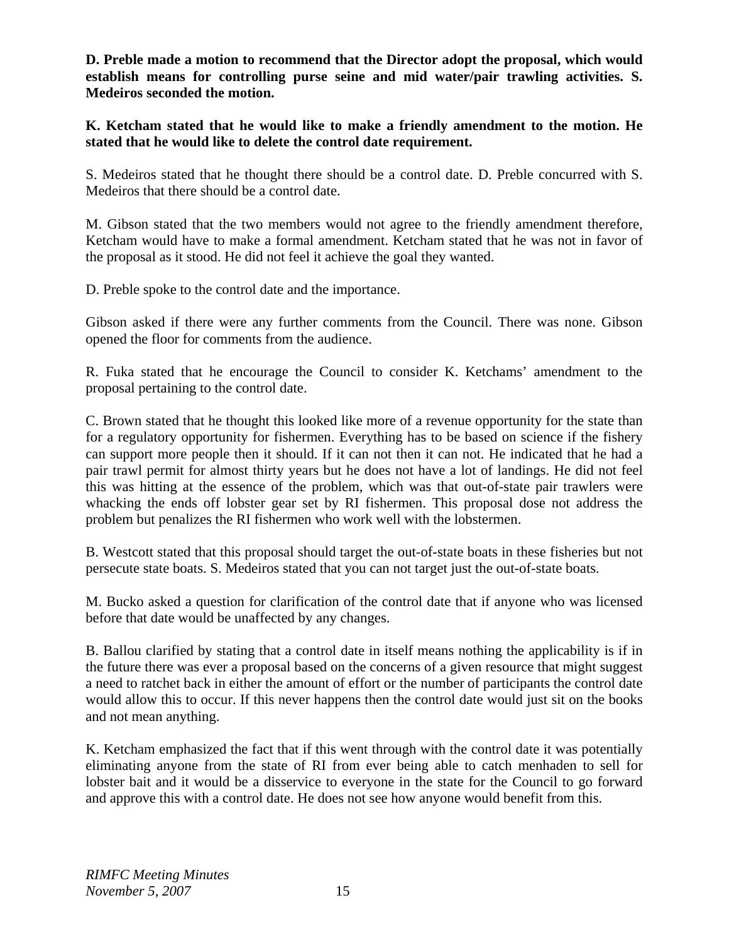**D. Preble made a motion to recommend that the Director adopt the proposal, which would establish means for controlling purse seine and mid water/pair trawling activities. S. Medeiros seconded the motion.** 

**K. Ketcham stated that he would like to make a friendly amendment to the motion. He stated that he would like to delete the control date requirement.**

S. Medeiros stated that he thought there should be a control date. D. Preble concurred with S. Medeiros that there should be a control date.

M. Gibson stated that the two members would not agree to the friendly amendment therefore, Ketcham would have to make a formal amendment. Ketcham stated that he was not in favor of the proposal as it stood. He did not feel it achieve the goal they wanted.

D. Preble spoke to the control date and the importance.

Gibson asked if there were any further comments from the Council. There was none. Gibson opened the floor for comments from the audience.

R. Fuka stated that he encourage the Council to consider K. Ketchams' amendment to the proposal pertaining to the control date.

C. Brown stated that he thought this looked like more of a revenue opportunity for the state than for a regulatory opportunity for fishermen. Everything has to be based on science if the fishery can support more people then it should. If it can not then it can not. He indicated that he had a pair trawl permit for almost thirty years but he does not have a lot of landings. He did not feel this was hitting at the essence of the problem, which was that out-of-state pair trawlers were whacking the ends off lobster gear set by RI fishermen. This proposal dose not address the problem but penalizes the RI fishermen who work well with the lobstermen.

B. Westcott stated that this proposal should target the out-of-state boats in these fisheries but not persecute state boats. S. Medeiros stated that you can not target just the out-of-state boats.

M. Bucko asked a question for clarification of the control date that if anyone who was licensed before that date would be unaffected by any changes.

B. Ballou clarified by stating that a control date in itself means nothing the applicability is if in the future there was ever a proposal based on the concerns of a given resource that might suggest a need to ratchet back in either the amount of effort or the number of participants the control date would allow this to occur. If this never happens then the control date would just sit on the books and not mean anything.

K. Ketcham emphasized the fact that if this went through with the control date it was potentially eliminating anyone from the state of RI from ever being able to catch menhaden to sell for lobster bait and it would be a disservice to everyone in the state for the Council to go forward and approve this with a control date. He does not see how anyone would benefit from this.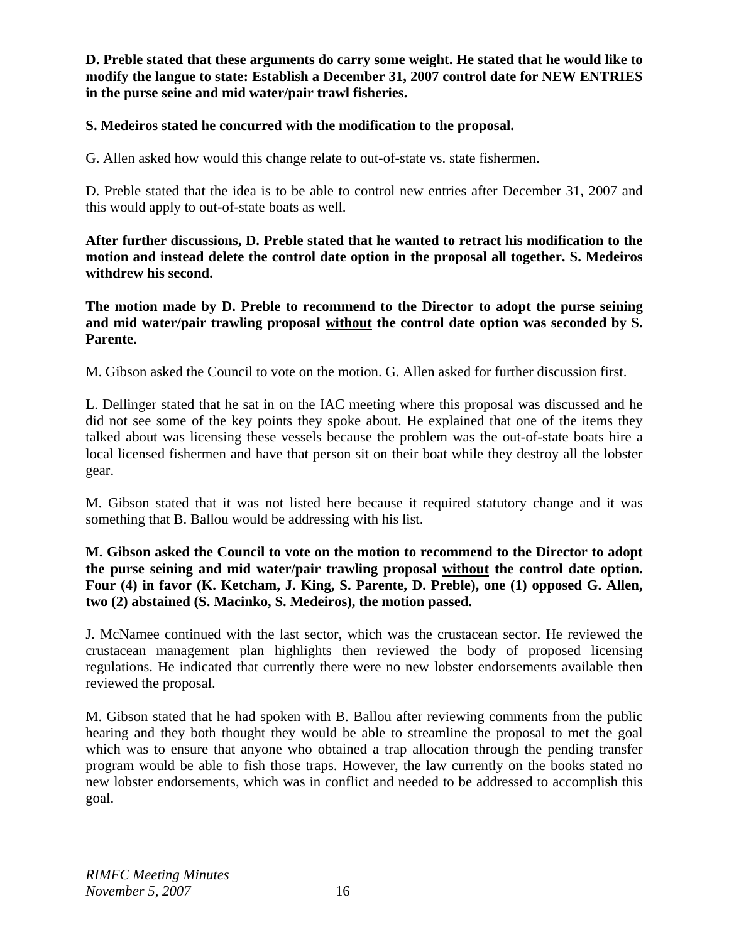**D. Preble stated that these arguments do carry some weight. He stated that he would like to modify the langue to state: Establish a December 31, 2007 control date for NEW ENTRIES in the purse seine and mid water/pair trawl fisheries.** 

### **S. Medeiros stated he concurred with the modification to the proposal.**

G. Allen asked how would this change relate to out-of-state vs. state fishermen.

D. Preble stated that the idea is to be able to control new entries after December 31, 2007 and this would apply to out-of-state boats as well.

**After further discussions, D. Preble stated that he wanted to retract his modification to the motion and instead delete the control date option in the proposal all together. S. Medeiros withdrew his second.** 

**The motion made by D. Preble to recommend to the Director to adopt the purse seining and mid water/pair trawling proposal without the control date option was seconded by S. Parente.** 

M. Gibson asked the Council to vote on the motion. G. Allen asked for further discussion first.

L. Dellinger stated that he sat in on the IAC meeting where this proposal was discussed and he did not see some of the key points they spoke about. He explained that one of the items they talked about was licensing these vessels because the problem was the out-of-state boats hire a local licensed fishermen and have that person sit on their boat while they destroy all the lobster gear.

M. Gibson stated that it was not listed here because it required statutory change and it was something that B. Ballou would be addressing with his list.

**M. Gibson asked the Council to vote on the motion to recommend to the Director to adopt the purse seining and mid water/pair trawling proposal without the control date option. Four (4) in favor (K. Ketcham, J. King, S. Parente, D. Preble), one (1) opposed G. Allen, two (2) abstained (S. Macinko, S. Medeiros), the motion passed.**

J. McNamee continued with the last sector, which was the crustacean sector. He reviewed the crustacean management plan highlights then reviewed the body of proposed licensing regulations. He indicated that currently there were no new lobster endorsements available then reviewed the proposal.

M. Gibson stated that he had spoken with B. Ballou after reviewing comments from the public hearing and they both thought they would be able to streamline the proposal to met the goal which was to ensure that anyone who obtained a trap allocation through the pending transfer program would be able to fish those traps. However, the law currently on the books stated no new lobster endorsements, which was in conflict and needed to be addressed to accomplish this goal.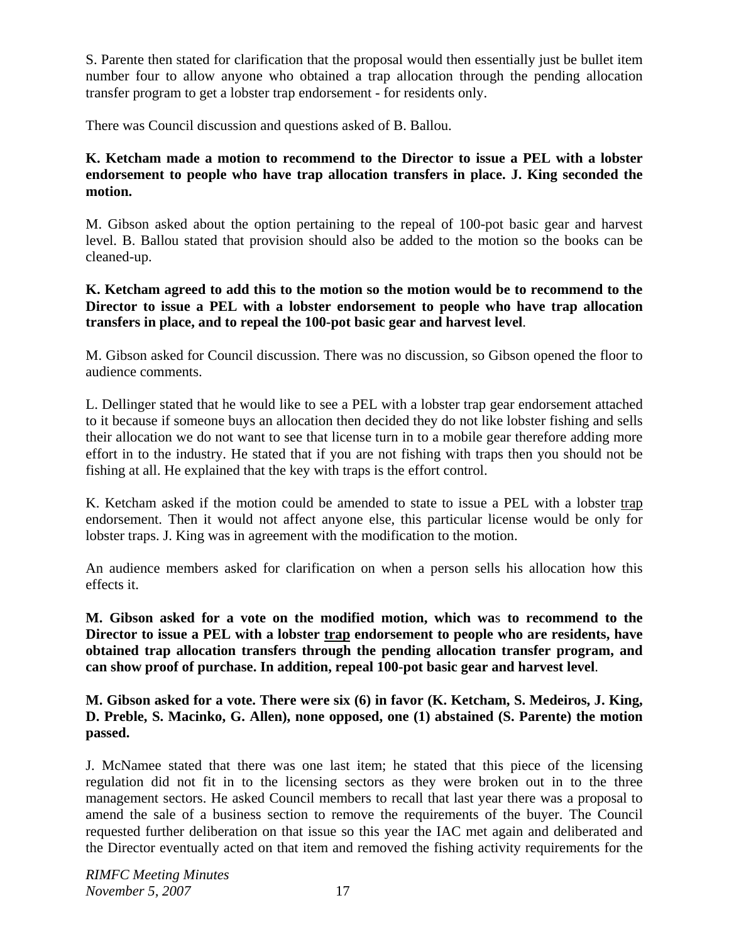S. Parente then stated for clarification that the proposal would then essentially just be bullet item number four to allow anyone who obtained a trap allocation through the pending allocation transfer program to get a lobster trap endorsement - for residents only.

There was Council discussion and questions asked of B. Ballou.

**K. Ketcham made a motion to recommend to the Director to issue a PEL with a lobster endorsement to people who have trap allocation transfers in place. J. King seconded the motion.**

M. Gibson asked about the option pertaining to the repeal of 100-pot basic gear and harvest level. B. Ballou stated that provision should also be added to the motion so the books can be cleaned-up.

**K. Ketcham agreed to add this to the motion so the motion would be to recommend to the Director to issue a PEL with a lobster endorsement to people who have trap allocation transfers in place, and to repeal the 100-pot basic gear and harvest level**.

M. Gibson asked for Council discussion. There was no discussion, so Gibson opened the floor to audience comments.

L. Dellinger stated that he would like to see a PEL with a lobster trap gear endorsement attached to it because if someone buys an allocation then decided they do not like lobster fishing and sells their allocation we do not want to see that license turn in to a mobile gear therefore adding more effort in to the industry. He stated that if you are not fishing with traps then you should not be fishing at all. He explained that the key with traps is the effort control.

K. Ketcham asked if the motion could be amended to state to issue a PEL with a lobster trap endorsement. Then it would not affect anyone else, this particular license would be only for lobster traps. J. King was in agreement with the modification to the motion.

An audience members asked for clarification on when a person sells his allocation how this effects it.

**M. Gibson asked for a vote on the modified motion, which wa**s **to recommend to the Director to issue a PEL with a lobster trap endorsement to people who are residents, have obtained trap allocation transfers through the pending allocation transfer program, and can show proof of purchase. In addition, repeal 100-pot basic gear and harvest level**.

**M. Gibson asked for a vote. There were six (6) in favor (K. Ketcham, S. Medeiros, J. King, D. Preble, S. Macinko, G. Allen), none opposed, one (1) abstained (S. Parente) the motion passed.** 

J. McNamee stated that there was one last item; he stated that this piece of the licensing regulation did not fit in to the licensing sectors as they were broken out in to the three management sectors. He asked Council members to recall that last year there was a proposal to amend the sale of a business section to remove the requirements of the buyer. The Council requested further deliberation on that issue so this year the IAC met again and deliberated and the Director eventually acted on that item and removed the fishing activity requirements for the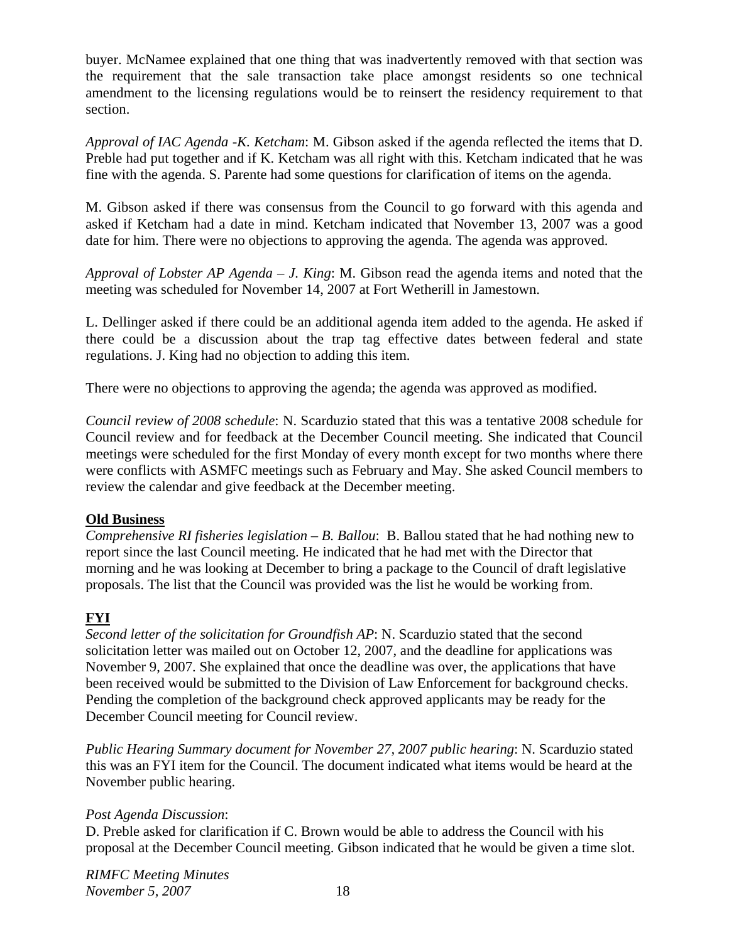buyer. McNamee explained that one thing that was inadvertently removed with that section was the requirement that the sale transaction take place amongst residents so one technical amendment to the licensing regulations would be to reinsert the residency requirement to that section.

*Approval of IAC Agenda -K. Ketcham*: M. Gibson asked if the agenda reflected the items that D. Preble had put together and if K. Ketcham was all right with this. Ketcham indicated that he was fine with the agenda. S. Parente had some questions for clarification of items on the agenda.

M. Gibson asked if there was consensus from the Council to go forward with this agenda and asked if Ketcham had a date in mind. Ketcham indicated that November 13, 2007 was a good date for him. There were no objections to approving the agenda. The agenda was approved.

*Approval of Lobster AP Agenda – J. King*: M. Gibson read the agenda items and noted that the meeting was scheduled for November 14, 2007 at Fort Wetherill in Jamestown.

L. Dellinger asked if there could be an additional agenda item added to the agenda. He asked if there could be a discussion about the trap tag effective dates between federal and state regulations. J. King had no objection to adding this item.

There were no objections to approving the agenda; the agenda was approved as modified.

*Council review of 2008 schedule*: N. Scarduzio stated that this was a tentative 2008 schedule for Council review and for feedback at the December Council meeting. She indicated that Council meetings were scheduled for the first Monday of every month except for two months where there were conflicts with ASMFC meetings such as February and May. She asked Council members to review the calendar and give feedback at the December meeting.

## **Old Business**

*Comprehensive RI fisheries legislation – B. Ballou*: B. Ballou stated that he had nothing new to report since the last Council meeting. He indicated that he had met with the Director that morning and he was looking at December to bring a package to the Council of draft legislative proposals. The list that the Council was provided was the list he would be working from.

# **FYI**

*Second letter of the solicitation for Groundfish AP*: N. Scarduzio stated that the second solicitation letter was mailed out on October 12, 2007, and the deadline for applications was November 9, 2007. She explained that once the deadline was over, the applications that have been received would be submitted to the Division of Law Enforcement for background checks. Pending the completion of the background check approved applicants may be ready for the December Council meeting for Council review.

*Public Hearing Summary document for November 27, 2007 public hearing*: N. Scarduzio stated this was an FYI item for the Council. The document indicated what items would be heard at the November public hearing.

## *Post Agenda Discussion*:

D. Preble asked for clarification if C. Brown would be able to address the Council with his proposal at the December Council meeting. Gibson indicated that he would be given a time slot.

*RIMFC Meeting Minutes November 5, 2007* 18